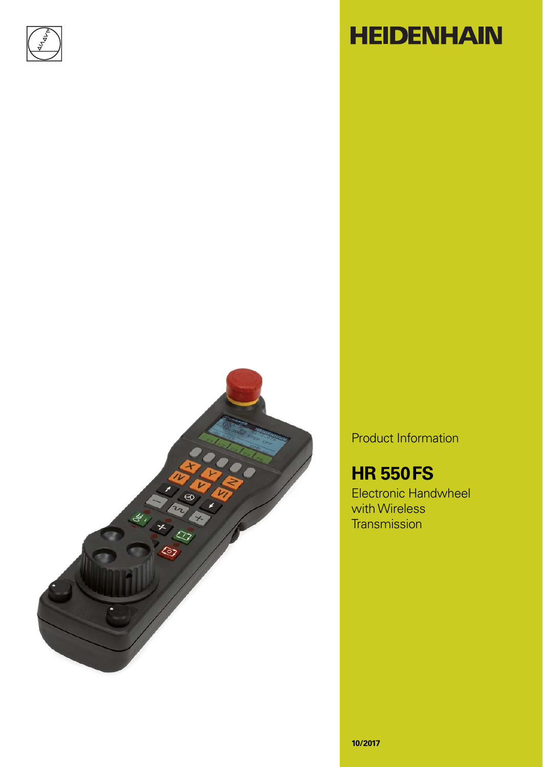

# **HEIDENHAIN**



Product Information

## **HR 550 FS**

Electronic Handwheel with Wireless **Transmission**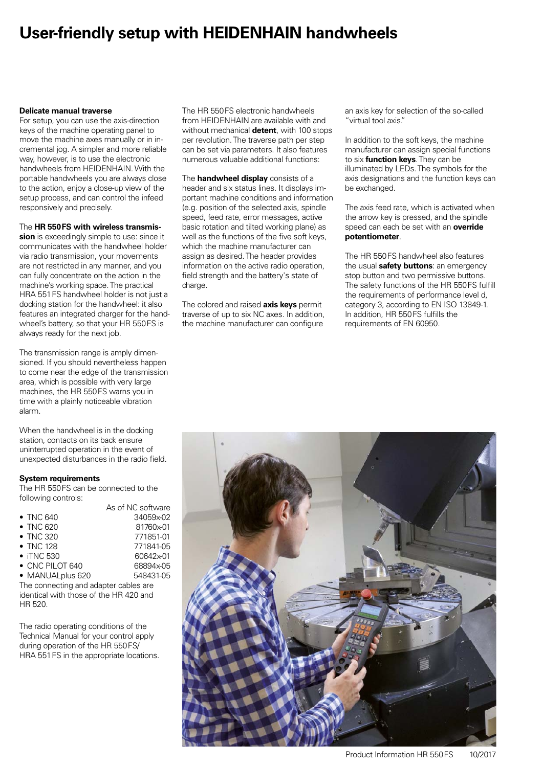### **User-friendly setup with HEIDENHAIN handwheels**

#### **Delicate manual traverse**

For setup, you can use the axis-direction keys of the machine operating panel to move the machine axes manually or in incremental jog. A simpler and more reliable way, however, is to use the electronic handwheels from HEIDENHAIN. With the portable handwheels you are always close to the action, enjoy a close-up view of the setup process, and can control the infeed responsively and precisely.

#### The **HR 550 FS with wireless transmis-**

**sion** is exceedingly simple to use: since it communicates with the handwheel holder via radio transmission, your movements are not restricted in any manner, and you can fully concentrate on the action in the machine's working space. The practical HRA 551 FS handwheel holder is not just a docking station for the handwheel: it also features an integrated charger for the handwheel's battery, so that your HR 550 FS is always ready for the next job.

The transmission range is amply dimensioned. If you should nevertheless happen to come near the edge of the transmission area, which is possible with very large machines, the HR 550 FS warns you in time with a plainly noticeable vibration alarm.

When the handwheel is in the docking station, contacts on its back ensure uninterrupted operation in the event of unexpected disturbances in the radio field.

#### **System requirements**

The HR 550 FS can be connected to the following controls:

|                         | As of NC software |
|-------------------------|-------------------|
| $\bullet$ TNC 640       | 34059x-02         |
| • TNC 620               | 81760x-01         |
| • TNC 320               | 771851-01         |
| • TNC 128               | 771841-05         |
| $\bullet$ iTNC 530      | 60642x-01         |
| $\bullet$ CNC PILOT 640 | 68894x-05         |
| • MANUALplus 620        | 548431-05         |

The connecting and adapter cables are identical with those of the HR 420 and HR 520.

The radio operating conditions of the Technical Manual for your control apply during operation of the HR 550 FS/ HRA 551 FS in the appropriate locations. The HR 550 FS electronic handwheels from HEIDENHAIN are available with and without mechanical **detent**, with 100 stops per revolution. The traverse path per step can be set via parameters. It also features numerous valuable additional functions:

The **handwheel display** consists of a header and six status lines. It displays important machine conditions and information (e.g. position of the selected axis, spindle speed, feed rate, error messages, active basic rotation and tilted working plane) as well as the functions of the five soft keys, which the machine manufacturer can assign as desired. The header provides information on the active radio operation, field strength and the battery's state of charge.

The colored and raised **axis keys** permit traverse of up to six NC axes. In addition, the machine manufacturer can configure

an axis key for selection of the so-called "virtual tool axis."

In addition to the soft keys, the machine manufacturer can assign special functions to six **function keys**. They can be illuminated by LEDs. The symbols for the axis designations and the function keys can be exchanged.

The axis feed rate, which is activated when the arrow key is pressed, and the spindle speed can each be set with an **override potentiometer**.

The HR 550 FS handwheel also features the usual **safety buttons**: an emergency stop button and two permissive buttons. The safety functions of the HR 550 FS fulfill the requirements of performance level d, category 3, according to EN ISO 13849-1. In addition, HR 550 FS fulfills the requirements of EN 60950.

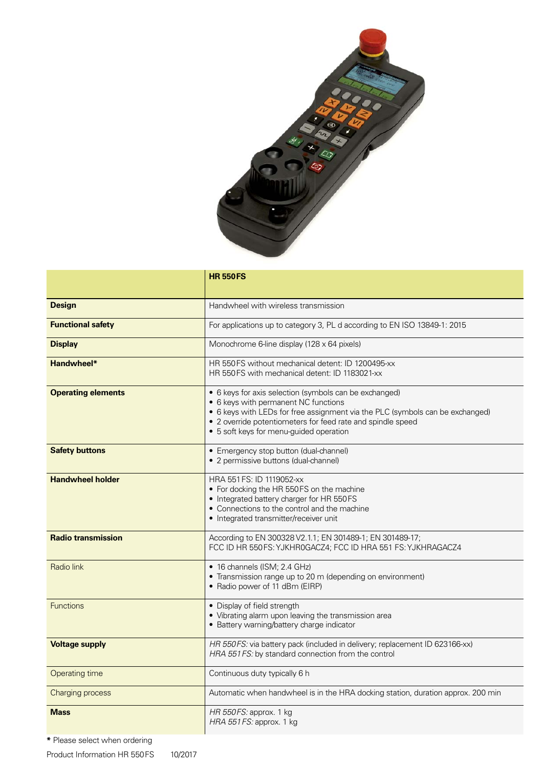

|                           | <b>HR 550FS</b>                                                                                                                                                                                                                                                                           |
|---------------------------|-------------------------------------------------------------------------------------------------------------------------------------------------------------------------------------------------------------------------------------------------------------------------------------------|
| <b>Design</b>             | Handwheel with wireless transmission                                                                                                                                                                                                                                                      |
| <b>Functional safety</b>  | For applications up to category 3, PL d according to EN ISO 13849-1: 2015                                                                                                                                                                                                                 |
| <b>Display</b>            | Monochrome 6-line display (128 x 64 pixels)                                                                                                                                                                                                                                               |
| Handwheel*                | HR 550 FS without mechanical detent: ID 1200495-xx<br>HR 550 FS with mechanical detent: ID 1183021-xx                                                                                                                                                                                     |
| <b>Operating elements</b> | • 6 keys for axis selection (symbols can be exchanged)<br>• 6 keys with permanent NC functions<br>• 6 keys with LEDs for free assignment via the PLC (symbols can be exchanged)<br>• 2 override potentiometers for feed rate and spindle speed<br>• 5 soft keys for menu-guided operation |
| <b>Safety buttons</b>     | • Emergency stop button (dual-channel)<br>• 2 permissive buttons (dual-channel)                                                                                                                                                                                                           |
| <b>Handwheel holder</b>   | HRA 551 FS: ID 1119052-xx<br>• For docking the HR 550FS on the machine<br>• Integrated battery charger for HR 550FS<br>• Connections to the control and the machine<br>• Integrated transmitter/receiver unit                                                                             |
| <b>Radio transmission</b> | According to EN 300328 V2.1.1; EN 301489-1; EN 301489-17;<br>FCC ID HR 550 FS: YJKHR0GACZ4; FCC ID HRA 551 FS: YJKHRAGACZ4                                                                                                                                                                |
| Radio link                | • 16 channels (ISM; 2.4 GHz)<br>• Transmission range up to 20 m (depending on environment)<br>• Radio power of 11 dBm (EIRP)                                                                                                                                                              |
| <b>Functions</b>          | • Display of field strength<br>• Vibrating alarm upon leaving the transmission area<br>• Battery warning/battery charge indicator                                                                                                                                                         |
| <b>Voltage supply</b>     | HR 550FS: via battery pack (included in delivery; replacement ID 623166-xx)<br>HRA 551 FS: by standard connection from the control                                                                                                                                                        |
| <b>Operating time</b>     | Continuous duty typically 6 h                                                                                                                                                                                                                                                             |
| <b>Charging process</b>   | Automatic when handwheel is in the HRA docking station, duration approx. 200 min                                                                                                                                                                                                          |
| <b>Mass</b>               | HR 550FS: approx. 1 kg<br>HRA 551 FS: approx. 1 kg                                                                                                                                                                                                                                        |

**\*** Please select when ordering